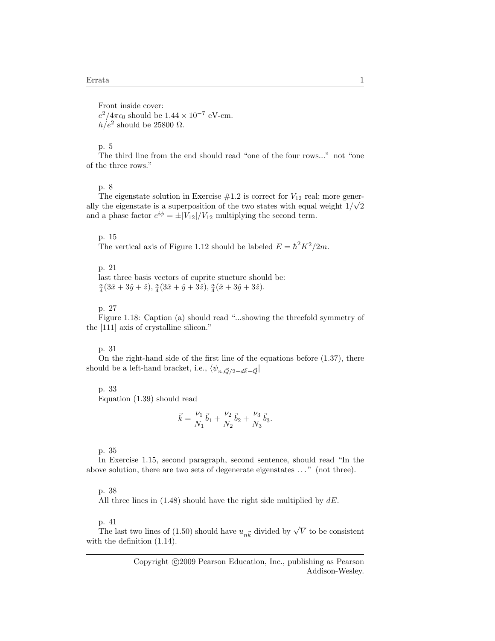Front inside cover:  $e^2/4\pi\epsilon_0$  should be  $1.44 \times 10^{-7}$  eV-cm.  $h/e^2$  should be 25800  $\Omega$ .

# p. 5

The third line from the end should read "one of the four rows..." not "one of the three rows."

# p. 8

The eigenstate solution in Exercise  $#1.2$  is correct for  $V_{12}$  real; more generally the eigenstate is a superposition of the two states with equal weight  $1/\sqrt{2}$ and a phase factor  $e^{i\phi} = \pm |V_{12}|/V_{12}$  multiplying the second term.

### p. 15

The vertical axis of Figure 1.12 should be labeled  $E = \hbar^2 K^2 / 2m$ .

## p. 21

last three basis vectors of cuprite stucture should be:  $\frac{a}{4}(3\hat{x}+3\hat{y}+\hat{z}), \frac{a}{4}(3\hat{x}+\hat{y}+3\hat{z}), \frac{a}{4}(\hat{x}+3\hat{y}+3\hat{z}).$ 

# p. 27

Figure 1.18: Caption (a) should read "...showing the threefold symmetry of the [111] axis of crystalline silicon."

# p. 31

On the right-hand side of the first line of the equations before (1.37), there should be a left-hand bracket, i.e.,  $\langle \psi_{n,\vec{Q}/2-d\vec{k}-\vec{Q}}|$ 

#### p. 33

Equation (1.39) should read

$$
\vec{k} = \frac{\nu_1}{N_1}\vec{b}_1 + \frac{\nu_2}{N_2}\vec{b}_2 + \frac{\nu_3}{N_3}\vec{b}_3.
$$

# p. 35

In Exercise 1.15, second paragraph, second sentence, should read "In the above solution, there are two sets of degenerate eigenstates . . . " (not three).

### p. 38

All three lines in  $(1.48)$  should have the right side multiplied by  $dE$ .

# p. 41

p. 41<br>The last two lines of (1.50) should have  $u_{n\vec{k}}$  divided by  $\sqrt{V}$  to be consistent with the definition (1.14).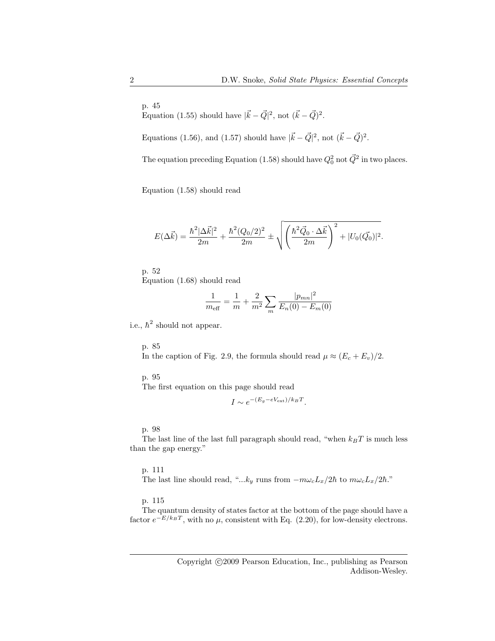Equation (1.55) should have  $|\vec{k} - \vec{Q}|^2$ , not  $(\vec{k} - \vec{Q})^2$ .

Equations (1.56), and (1.57) should have  $|\vec{k} - \vec{Q}|^2$ , not  $(\vec{k} - \vec{Q})^2$ .

The equation preceding Equation (1.58) should have  $Q_0^2$  not  $\vec{Q}^2$  in two places.

Equation (1.58) should read

$$
E(\Delta \vec{k}) = \frac{\hbar^2 |\Delta \vec{k}|^2}{2m} + \frac{\hbar^2 (Q_0/2)^2}{2m} \pm \sqrt{\left(\frac{\hbar^2 \vec{Q}_0 \cdot \Delta \vec{k}}{2m}\right)^2 + |U_0(\vec{Q}_0)|^2}.
$$

p. 52 Equation (1.68) should read

$$
\frac{1}{m_{\text{eff}}} = \frac{1}{m} + \frac{2}{m^2} \sum_{m} \frac{|p_{mn}|^2}{E_n(0) - E_m(0)}
$$

i.e.,  $\hbar^2$  should not appear.

p. 85 In the caption of Fig. 2.9, the formula should read  $\mu \approx (E_c + E_v)/2$ .

p. 95

The first equation on this page should read

$$
I \sim e^{-(E_g - eV_{\rm ext})/k_B T}.
$$

p. 98

The last line of the last full paragraph should read, "when  $k_BT$  is much less than the gap energy."

p. 111

The last line should read, "...k<sub>y</sub> runs from  $-m\omega_cL_x/2\hbar$  to  $m\omega_cL_x/2\hbar$ ."

p. 115

The quantum density of states factor at the bottom of the page should have a factor  $e^{-E/k_BT}$ , with no  $\mu$ , consistent with Eq. (2.20), for low-density electrons.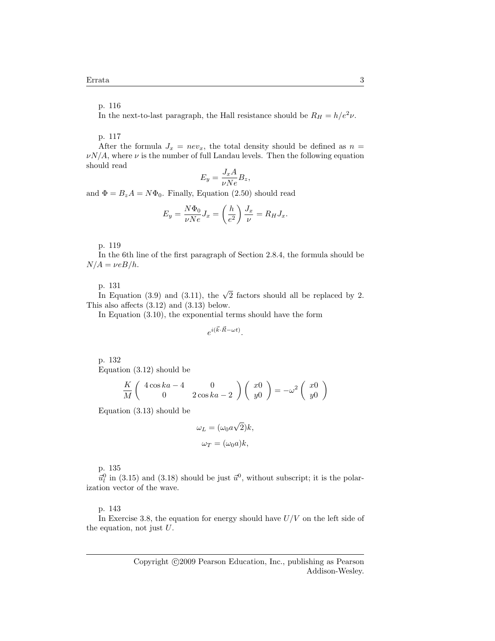In the next-to-last paragraph, the Hall resistance should be  $R_H = h/e^2 \nu$ .

p. 117

After the formula  $J_x = nev_x$ , the total density should be defined as  $n =$  $\nu N/A$ , where  $\nu$  is the number of full Landau levels. Then the following equation should read

$$
E_y = \frac{J_x A}{\nu Ne} B_z,
$$

and  $\Phi = B_z A = N \Phi_0$ . Finally, Equation (2.50) should read

$$
E_y = \frac{N\Phi_0}{\nu Ne} J_x = \left(\frac{h}{e^2}\right) \frac{J_x}{\nu} = R_H J_x.
$$

p. 119

In the 6th line of the first paragraph of Section 2.8.4, the formula should be  $N/A = \nu eB/h$ .

p. 131

p. 131<br>In Equation (3.9) and (3.11), the  $\sqrt{2}$  factors should all be replaced by 2. This also affects (3.12) and (3.13) below.

In Equation (3.10), the exponential terms should have the form

$$
e^{i(\vec{k}\cdot\vec{R}-\omega t)}.
$$

p. 132 Equation (3.12) should be

$$
\frac{K}{M}\left(\begin{array}{cc} 4\cos ka-4 & 0 \\ 0 & 2\cos ka-2 \end{array}\right)\left(\begin{array}{c} x0 \\ y0 \end{array}\right)=-\omega^2\left(\begin{array}{c} x0 \\ y0 \end{array}\right)
$$

Equation (3.13) should be

$$
\omega_L = (\omega_0 a \sqrt{2})k,
$$
  

$$
\omega_T = (\omega_0 a)k,
$$

p. 135

 $\vec{u}_l^0$  in (3.15) and (3.18) should be just  $\vec{u}^0$ , without subscript; it is the polarization vector of the wave.

p. 143

In Exercise 3.8, the equation for energy should have  $U/V$  on the left side of the equation, not just  $U$ .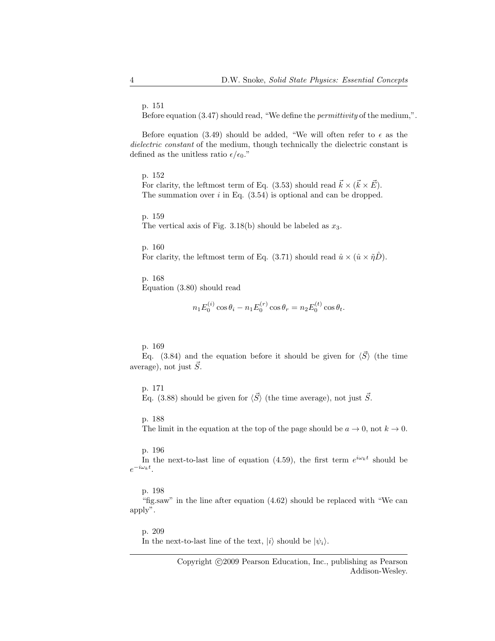Before equation (3.47) should read, "We define the permittivity of the medium,".

Before equation (3.49) should be added, "We will often refer to  $\epsilon$  as the dielectric constant of the medium, though technically the dielectric constant is defined as the unitless ratio  $\epsilon/\epsilon_0$ ."

p. 152

For clarity, the leftmost term of Eq. (3.53) should read  $\vec{k} \times (\vec{k} \times \vec{E})$ . The summation over  $i$  in Eq.  $(3.54)$  is optional and can be dropped.

p. 159

The vertical axis of Fig. 3.18(b) should be labeled as  $x_3$ .

p. 160

For clarity, the leftmost term of Eq. (3.71) should read  $\hat{u} \times (\hat{u} \times \tilde{\eta}D)$ .

p. 168 Equation (3.80) should read

$$
n_1 E_0^{(i)} \cos \theta_i - n_1 E_0^{(r)} \cos \theta_r = n_2 E_0^{(t)} \cos \theta_t.
$$

p. 169

Eq. (3.84) and the equation before it should be given for  $\langle \vec{S} \rangle$  (the time average), not just  $\vec{S}$ .

### p. 171

Eq. (3.88) should be given for  $\langle \vec{S} \rangle$  (the time average), not just  $\vec{S}$ .

p. 188

The limit in the equation at the top of the page should be  $a \to 0$ , not  $k \to 0$ .

#### p. 196

In the next-to-last line of equation (4.59), the first term  $e^{i\omega_k t}$  should be  $e^{-i\omega_k t}$ .

p. 198

"fig.saw" in the line after equation (4.62) should be replaced with "We can apply".

# p. 209

In the next-to-last line of the text,  $|i\rangle$  should be  $|\psi_i\rangle$ .

Copyright  $\odot$ 2009 Pearson Education, Inc., publishing as Pearson Addison-Wesley.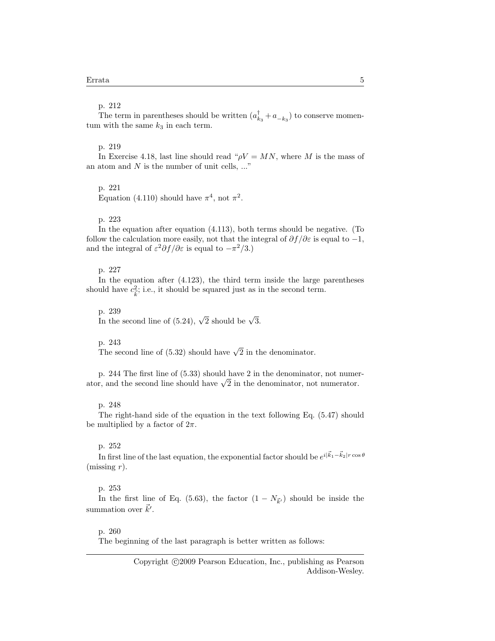The term in parentheses should be written  $(a_{k_3}^{\dagger} + a_{-k_3})$  to conserve momentum with the same  $k_3$  in each term.

# p. 219

In Exercise 4.18, last line should read " $\rho V = MN$ , where M is the mass of an atom and  $N$  is the number of unit cells,  $\ldots$ "

# p. 221

Equation (4.110) should have  $\pi^4$ , not  $\pi^2$ .

# p. 223

In the equation after equation (4.113), both terms should be negative. (To follow the calculation more easily, not that the integral of  $\partial f/\partial \varepsilon$  is equal to  $-1$ , and the integral of  $\varepsilon^2 \partial f / \partial \varepsilon$  is equal to  $-\pi^2/3$ .)

# p. 227

In the equation after (4.123), the third term inside the large parentheses should have  $c_{\vec{k}}^2$ ; i.e., it should be squared just as in the second term.

p. 239 p. 259<br>In the second line of (5.24),  $\sqrt{2}$  should be  $\sqrt{3}$ .

# p. 243

p. 245<br>The second line of (5.32) should have  $\sqrt{2}$  in the denominator.

p. 244 The first line of (5.33) should have 2 in the denominator, not numerp. 244 The first line of (5.33) should have 2 in the denominator, not numerator, and the second line should have  $\sqrt{2}$  in the denominator, not numerator.

### p. 248

The right-hand side of the equation in the text following Eq. (5.47) should be multiplied by a factor of  $2\pi$ .

### p. 252

In first line of the last equation, the exponential factor should be  $e^{i|\vec{k}_1 - \vec{k}_2| r \cos \theta}$ (missing  $r$ ).

### p. 253

In the first line of Eq. (5.63), the factor  $(1 - N_{\vec{k}})$  should be inside the summation over  $\vec{k}'$ .

### p. 260

The beginning of the last paragraph is better written as follows: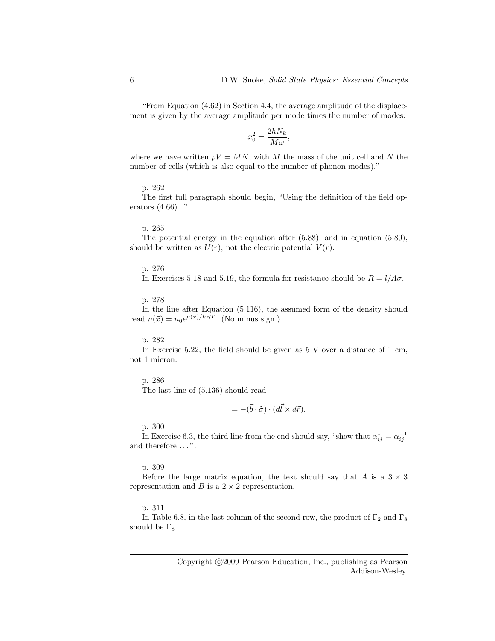"From Equation (4.62) in Section 4.4, the average amplitude of the displacement is given by the average amplitude per mode times the number of modes:

$$
x_0^2 = \frac{2\hbar N_k}{M\omega},
$$

where we have written  $\rho V = MN$ , with M the mass of the unit cell and N the number of cells (which is also equal to the number of phonon modes)."

# p. 262

The first full paragraph should begin, "Using the definition of the field operators (4.66)..."

#### p. 265

The potential energy in the equation after (5.88), and in equation (5.89), should be written as  $U(r)$ , not the electric potential  $V(r)$ .

# p. 276

In Exercises 5.18 and 5.19, the formula for resistance should be  $R = l/A\sigma$ .

# p. 278

In the line after Equation (5.116), the assumed form of the density should read  $n(\vec{x}) = n_0 e^{\mu(\vec{x})/k_B T}$ . (No minus sign.)

#### p. 282

In Exercise 5.22, the field should be given as 5 V over a distance of 1 cm, not 1 micron.

# p. 286

The last line of (5.136) should read

$$
= -(\vec{b} \cdot \tilde{\sigma}) \cdot (d\vec{l} \times d\vec{r}).
$$

p. 300

In Exercise 6.3, the third line from the end should say, "show that  $\alpha_{ij}^* = \alpha_{ij}^{-1}$ " and therefore ...".

# p. 309

Before the large matrix equation, the text should say that A is a  $3 \times 3$ representation and B is a  $2 \times 2$  representation.

### p. 311

In Table 6.8, in the last column of the second row, the product of  $\Gamma_2$  and  $\Gamma_8$ should be  $\Gamma_8$ .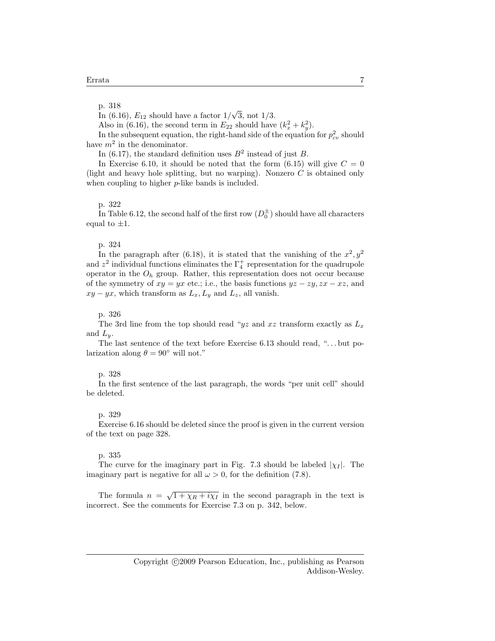In (6.16),  $E_{12}$  should have a factor  $1/$ √ 3, not 1/3.

Also in (6.16), the second term in  $E_{22}$  should have  $(k_x^2 + k_y^2)$ .

In the subsequent equation, the right-hand side of the equation for  $p_{cv}^2$  should have  $m^2$  in the denominator.

In (6.17), the standard definition uses  $B^2$  instead of just B.

In Exercise 6.10, it should be noted that the form  $(6.15)$  will give  $C = 0$ (light and heavy hole splitting, but no warping). Nonzero  $C$  is obtained only when coupling to higher *p*-like bands is included.

#### p. 322

In Table 6.12, the second half of the first row  $(D_0^{\pm})$  should have all characters equal to  $\pm 1$ .

### p. 324

In the paragraph after (6.18), it is stated that the vanishing of the  $x^2, y^2$ and  $z^2$  individual functions eliminates the  $\Gamma_4^+$  representation for the quadrupole operator in the  $O<sub>h</sub>$  group. Rather, this representation does not occur because of the symmetry of  $xy = yx$  etc.; i.e., the basis functions  $yz - zy$ ,  $zx - xz$ , and  $xy - yx$ , which transform as  $L_x, L_y$  and  $L_z$ , all vanish.

# p. 326

The 3rd line from the top should read "yz and xz transform exactly as  $L_x$ and  $L_y$ .

The last sentence of the text before Exercise 6.13 should read, "... but polarization along  $\theta = 90^{\circ}$  will not."

#### p. 328

In the first sentence of the last paragraph, the words "per unit cell" should be deleted.

#### p. 329

Exercise 6.16 should be deleted since the proof is given in the current version of the text on page 328.

#### p. 335

The curve for the imaginary part in Fig. 7.3 should be labeled  $|\chi_I|$ . The imaginary part is negative for all  $\omega > 0$ , for the definition (7.8).

The formula  $n = \sqrt{1 + \chi_R + i\chi_I}$  in the second paragraph in the text is incorrect. See the comments for Exercise 7.3 on p. 342, below.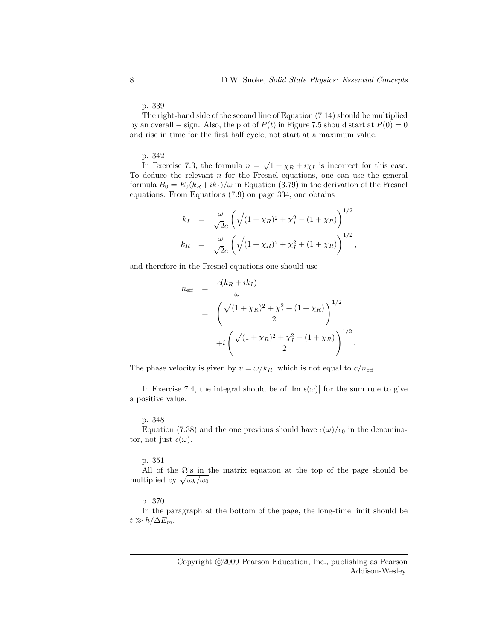The right-hand side of the second line of Equation (7.14) should be multiplied by an overall – sign. Also, the plot of  $P(t)$  in Figure 7.5 should start at  $P(0) = 0$ and rise in time for the first half cycle, not start at a maximum value.

# p. 342

In Exercise 7.3, the formula  $n = \sqrt{1 + \chi_R + i\chi_I}$  is incorrect for this case. To deduce the relevant  $n$  for the Fresnel equations, one can use the general formula  $B_0 = E_0(k_R + ik_I)/\omega$  in Equation (3.79) in the derivation of the Fresnel equations. From Equations (7.9) on page 334, one obtains

$$
k_I = \frac{\omega}{\sqrt{2}c} \left( \sqrt{(1 + \chi_R)^2 + \chi_I^2} - (1 + \chi_R) \right)^{1/2}
$$
  

$$
k_R = \frac{\omega}{\sqrt{2}c} \left( \sqrt{(1 + \chi_R)^2 + \chi_I^2} + (1 + \chi_R) \right)^{1/2},
$$

and therefore in the Fresnel equations one should use

$$
n_{\text{eff}} = \frac{c(k_R + ik_I)}{\omega}
$$
  
=  $\left(\frac{\sqrt{(1 + \chi_R)^2 + \chi_I^2} + (1 + \chi_R)}{2}\right)^{1/2}$   
+ $i \left(\frac{\sqrt{(1 + \chi_R)^2 + \chi_I^2} - (1 + \chi_R)}{2}\right)^{1/2}$ 

.

The phase velocity is given by  $v = \omega/k_R$ , which is not equal to  $c/n_{\text{eff}}$ .

In Exercise 7.4, the integral should be of  $|\text{Im } \epsilon(\omega)|$  for the sum rule to give a positive value.

#### p. 348

Equation (7.38) and the one previous should have  $\epsilon(\omega)/\epsilon_0$  in the denominator, not just  $\epsilon(\omega)$ .

# p. 351

All of the  $\Omega$ 's in the matrix equation at the top of the page should be multiplied by  $\sqrt{\omega_k/\omega_0}$ .

# p. 370

In the paragraph at the bottom of the page, the long-time limit should be  $t \gg \hbar/\Delta E_m$ .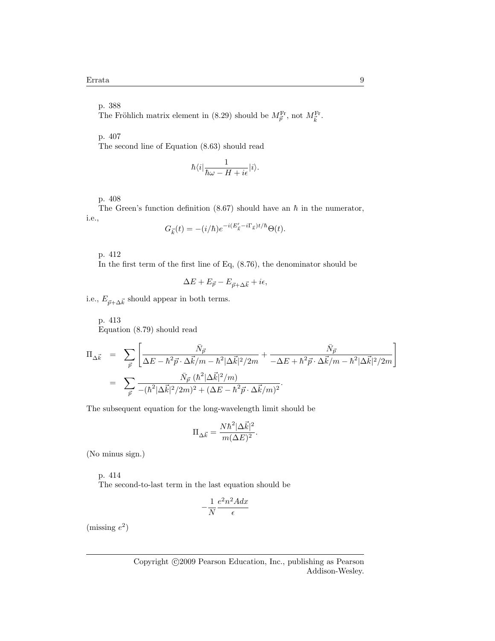The Fröhlich matrix element in (8.29) should be  $M_{\vec{p}}^{\text{Fr}}$ , not  $M_{\vec{k}}^{\text{Fr}}$ .

p. 407

The second line of Equation (8.63) should read

$$
\hbar\langle i|\frac{1}{\hbar\omega -H+i\epsilon}|i\rangle.
$$

p. 408

The Green's function definition (8.67) should have an  $\hbar$  in the numerator, i.e.,

$$
G_{\vec{k}}(t) = -(i/\hbar)e^{-i(E'_{\vec{k}}-i\Gamma_{\vec{k}})t/\hbar}\Theta(t).
$$

p. 412

In the first term of the first line of Eq, (8.76), the denominator should be

$$
\Delta E + E_{\vec{p}} - E_{\vec{p} + \Delta \vec{k}} + i\epsilon,
$$

i.e.,  $E_{\vec{p}+\Delta\vec{k}}$  should appear in both terms.

p. 413 Equation (8.79) should read

$$
\Pi_{\Delta \vec{k}} = \sum_{\vec{p}} \left[ \frac{\bar{N}_{\vec{p}}}{\Delta E - \hbar^2 \vec{p} \cdot \Delta \vec{k}/m - \hbar^2 |\Delta \vec{k}|^2 / 2m} + \frac{\bar{N}_{\vec{p}}}{-\Delta E + \hbar^2 \vec{p} \cdot \Delta \vec{k}/m - \hbar^2 |\Delta \vec{k}|^2 / 2m} \right]
$$
  
\n
$$
= \sum_{\vec{p}} \frac{\bar{N}_{\vec{p}} (\hbar^2 |\Delta \vec{k}|^2 / m)}{-(\hbar^2 |\Delta \vec{k}|^2 / 2m)^2 + (\Delta E - \hbar^2 \vec{p} \cdot \Delta \vec{k}/m)^2}.
$$

The subsequent equation for the long-wavelength limit should be

$$
\Pi_{\Delta \vec{k}} = \frac{N \hbar^2 |\Delta \vec{k}|^2}{m (\Delta E)^2}.
$$

(No minus sign.)

p. 414

The second-to-last term in the last equation should be

$$
-\frac{1}{N}\frac{e^2n^2Adx}{\epsilon}
$$

(missing  $e^2$ )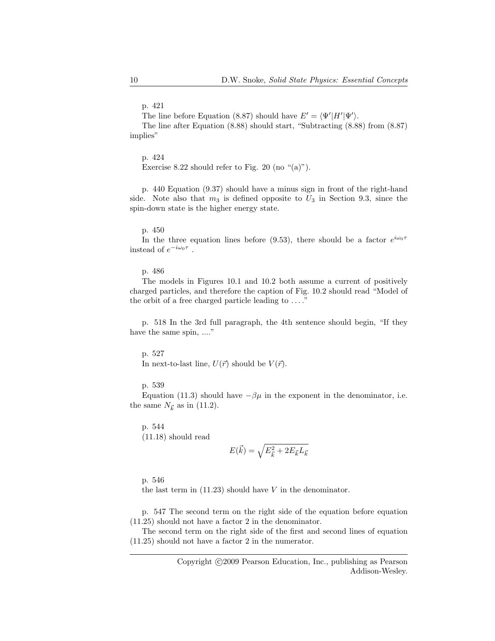The line before Equation (8.87) should have  $E' = \langle \Psi' | H' | \Psi' \rangle$ .

The line after Equation (8.88) should start, "Subtracting (8.88) from (8.87) implies"

p. 424

Exercise 8.22 should refer to Fig. 20 (no " $(a)$ ").

p. 440 Equation (9.37) should have a minus sign in front of the right-hand side. Note also that  $m_3$  is defined opposite to  $U_3$  in Section 9.3, since the spin-down state is the higher energy state.

### p. 450

In the three equation lines before (9.53), there should be a factor  $e^{i\omega_0 \tau}$ instead of  $e^{-i\omega_0 \tau}$ .

# p. 486

The models in Figures 10.1 and 10.2 both assume a current of positively charged particles, and therefore the caption of Fig. 10.2 should read "Model of the orbit of a free charged particle leading to  $\dots$ ."

p. 518 In the 3rd full paragraph, the 4th sentence should begin, "If they have the same spin, ...."

#### p. 527

In next-to-last line,  $U(\vec{r})$  should be  $V(\vec{r})$ .

p. 539

Equation (11.3) should have  $-\beta\mu$  in the exponent in the denominator, i.e. the same  $N_{\vec{k}}$  as in (11.2).

p. 544

(11.18) should read

$$
E(\vec{k}) = \sqrt{E_{\vec{k}}^2 + 2E_{\vec{k}}L_{\vec{k}}}
$$

p. 546

the last term in  $(11.23)$  should have V in the denominator.

p. 547 The second term on the right side of the equation before equation (11.25) should not have a factor 2 in the denominator.

The second term on the right side of the first and second lines of equation (11.25) should not have a factor 2 in the numerator.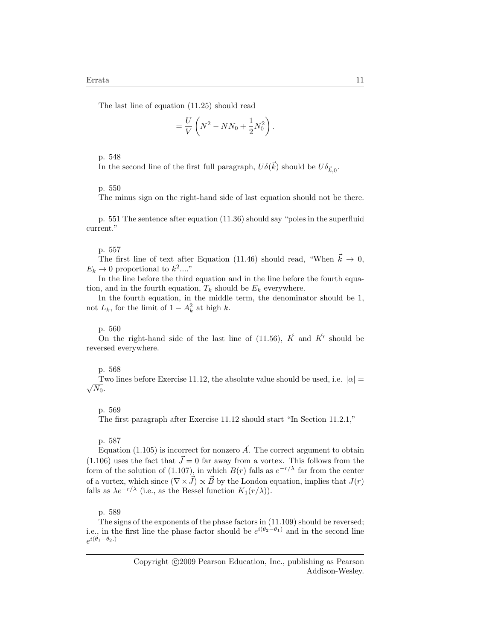The last line of equation (11.25) should read

$$
=\frac{U}{V}\left(N^2-NN_0+\frac{1}{2}N_0^2\right).
$$

p. 548

In the second line of the first full paragraph,  $U\delta(\vec{k})$  should be  $U\delta_{\vec{k},0}$ .

# p. 550

The minus sign on the right-hand side of last equation should not be there.

p. 551 The sentence after equation (11.36) should say "poles in the superfluid current."

# p. 557

The first line of text after Equation (11.46) should read, "When  $\vec{k} \to 0$ ,  $E_k \to 0$  proportional to  $k^2...$ "

In the line before the third equation and in the line before the fourth equation, and in the fourth equation,  $T_k$  should be  $E_k$  everywhere.

In the fourth equation, in the middle term, the denominator should be 1, not  $L_k$ , for the limit of  $1 - A_k^2$  at high k.

# p. 560

On the right-hand side of the last line of (11.56),  $\vec{K}$  and  $\vec{K'}$  should be reversed everywhere.

# p. 568

Two lines before Exercise 11.12, the absolute value should be used, i.e.  $|\alpha| =$  $\sqrt{N_0}$ .

# p. 569

The first paragraph after Exercise 11.12 should start "In Section 11.2.1,"

# p. 587

Equation (1.105) is incorrect for nonzero  $\vec{A}$ . The correct argument to obtain  $(1.106)$  uses the fact that  $\vec{J}=0$  far away from a vortex. This follows from the form of the solution of (1.107), in which  $B(r)$  falls as  $e^{-r/\lambda}$  far from the center of a vortex, which since  $(\nabla \times \vec{J}) \propto \vec{B}$  by the London equation, implies that  $J(r)$ falls as  $\lambda e^{-r/\lambda}$  (i.e., as the Bessel function  $K_1(r/\lambda)$ ).

### p. 589

The signs of the exponents of the phase factors in (11.109) should be reversed; i.e., in the first line the phase factor should be  $e^{i(\theta_2-\theta_1)}$  and in the second line  $e^{i(\theta_1-\theta_2.)}$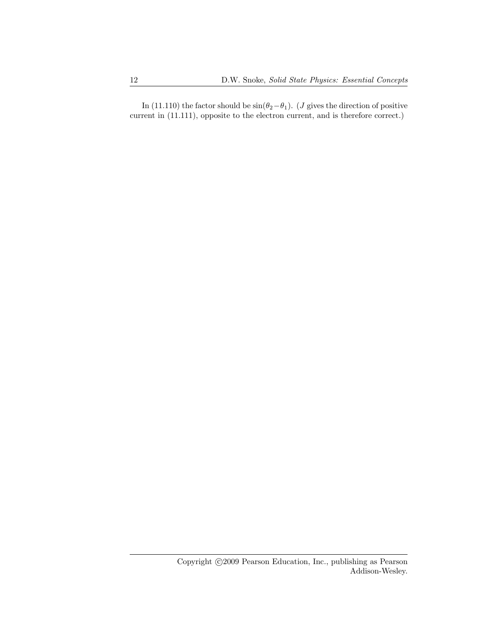In (11.110) the factor should be  $\sin(\theta_2-\theta_1)$ . (*J* gives the direction of positive current in  $(11.111)$ , opposite to the electron current, and is therefore correct.)